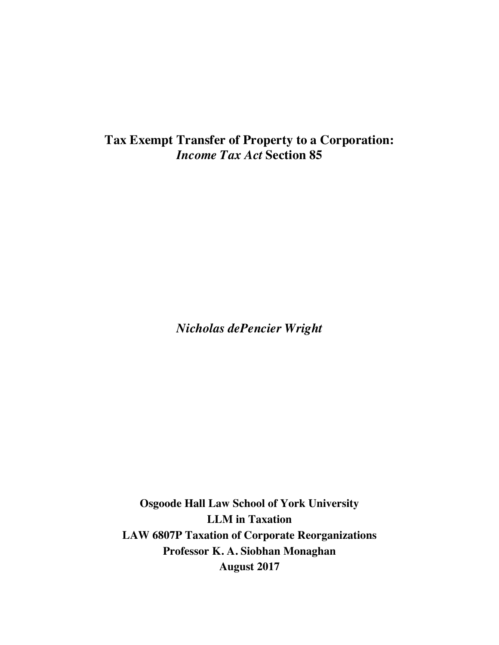# **Tax Exempt Transfer of Property to a Corporation:**  *Income Tax Act* **Section 85**

*Nicholas dePencier Wright*

**Osgoode Hall Law School of York University LLM in Taxation LAW 6807P Taxation of Corporate Reorganizations Professor K. A. Siobhan Monaghan August 2017**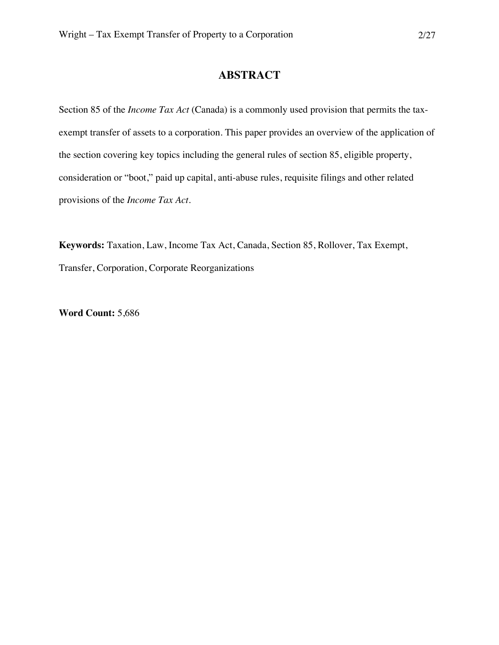# **ABSTRACT**

Section 85 of the *Income Tax Act* (Canada) is a commonly used provision that permits the taxexempt transfer of assets to a corporation. This paper provides an overview of the application of the section covering key topics including the general rules of section 85, eligible property, consideration or "boot," paid up capital, anti-abuse rules, requisite filings and other related provisions of the *Income Tax Act*.

**Keywords:** Taxation, Law, Income Tax Act, Canada, Section 85, Rollover, Tax Exempt, Transfer, Corporation, Corporate Reorganizations

**Word Count:** 5,686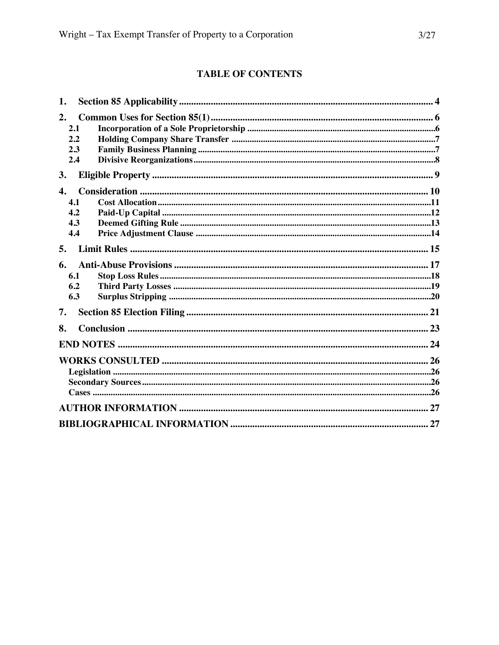# **TABLE OF CONTENTS**

| 1.                 |  |
|--------------------|--|
| 2.                 |  |
| 2.1                |  |
| 2.2                |  |
| 2.3                |  |
| 2.4                |  |
| 3.                 |  |
| $\boldsymbol{4}$ . |  |
| 4.1                |  |
| 4.2                |  |
| 4.3                |  |
| 4.4                |  |
| 5.                 |  |
| 6.                 |  |
| 6.1                |  |
| 6.2                |  |
| 6.3                |  |
| 7.                 |  |
| 8.                 |  |
|                    |  |
|                    |  |
|                    |  |
|                    |  |
|                    |  |
|                    |  |
|                    |  |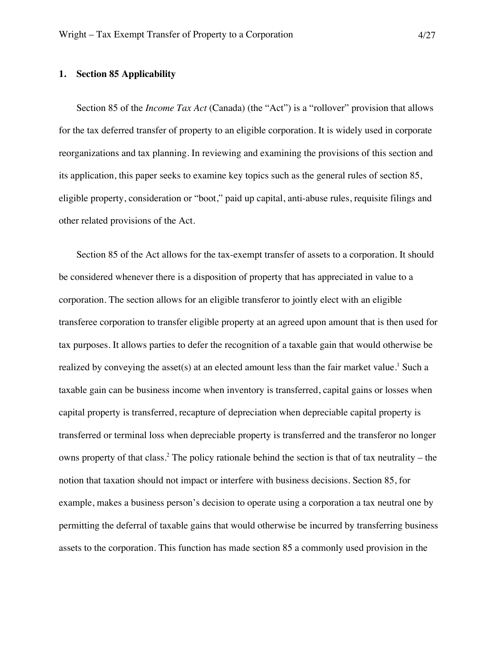#### **1. Section 85 Applicability**

Section 85 of the *Income Tax Act* (Canada) (the "Act") is a "rollover" provision that allows for the tax deferred transfer of property to an eligible corporation. It is widely used in corporate reorganizations and tax planning. In reviewing and examining the provisions of this section and its application, this paper seeks to examine key topics such as the general rules of section 85, eligible property, consideration or "boot," paid up capital, anti-abuse rules, requisite filings and other related provisions of the Act.

Section 85 of the Act allows for the tax-exempt transfer of assets to a corporation. It should be considered whenever there is a disposition of property that has appreciated in value to a corporation. The section allows for an eligible transferor to jointly elect with an eligible transferee corporation to transfer eligible property at an agreed upon amount that is then used for tax purposes. It allows parties to defer the recognition of a taxable gain that would otherwise be realized by conveying the asset(s) at an elected amount less than the fair market value.<sup>1</sup> Such a taxable gain can be business income when inventory is transferred, capital gains or losses when capital property is transferred, recapture of depreciation when depreciable capital property is transferred or terminal loss when depreciable property is transferred and the transferor no longer owns property of that class.<sup>2</sup> The policy rationale behind the section is that of tax neutrality – the notion that taxation should not impact or interfere with business decisions. Section 85, for example, makes a business person's decision to operate using a corporation a tax neutral one by permitting the deferral of taxable gains that would otherwise be incurred by transferring business assets to the corporation. This function has made section 85 a commonly used provision in the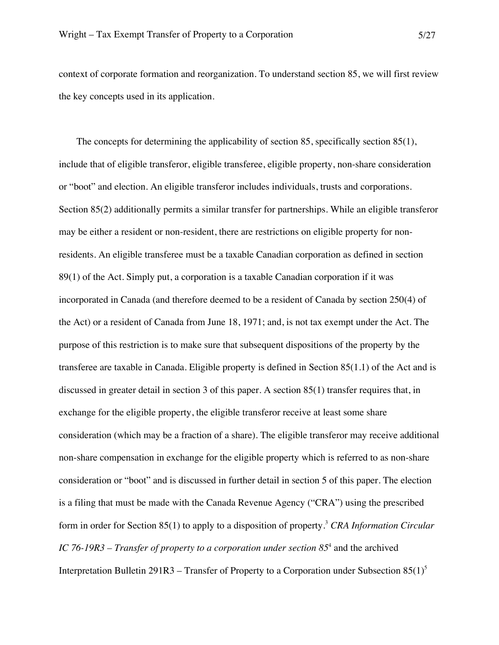context of corporate formation and reorganization. To understand section 85, we will first review the key concepts used in its application.

The concepts for determining the applicability of section 85, specifically section 85(1), include that of eligible transferor, eligible transferee, eligible property, non-share consideration or "boot" and election. An eligible transferor includes individuals, trusts and corporations. Section 85(2) additionally permits a similar transfer for partnerships. While an eligible transferor may be either a resident or non-resident, there are restrictions on eligible property for nonresidents. An eligible transferee must be a taxable Canadian corporation as defined in section 89(1) of the Act. Simply put, a corporation is a taxable Canadian corporation if it was incorporated in Canada (and therefore deemed to be a resident of Canada by section 250(4) of the Act) or a resident of Canada from June 18, 1971; and, is not tax exempt under the Act. The purpose of this restriction is to make sure that subsequent dispositions of the property by the transferee are taxable in Canada. Eligible property is defined in Section 85(1.1) of the Act and is discussed in greater detail in section 3 of this paper. A section 85(1) transfer requires that, in exchange for the eligible property, the eligible transferor receive at least some share consideration (which may be a fraction of a share). The eligible transferor may receive additional non-share compensation in exchange for the eligible property which is referred to as non-share consideration or "boot" and is discussed in further detail in section 5 of this paper. The election is a filing that must be made with the Canada Revenue Agency ("CRA") using the prescribed form in order for Section 85(1) to apply to a disposition of property.3 *CRA Information Circular IC 76-19R3 – Transfer of property to a corporation under section 85*<sup>4</sup> and the archived Interpretation Bulletin 291R3 – Transfer of Property to a Corporation under Subsection  $85(1)^5$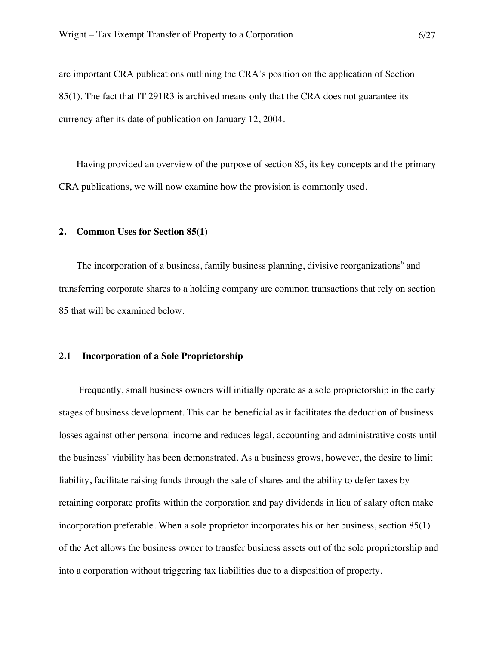are important CRA publications outlining the CRA's position on the application of Section 85(1). The fact that IT 291R3 is archived means only that the CRA does not guarantee its currency after its date of publication on January 12, 2004.

Having provided an overview of the purpose of section 85, its key concepts and the primary CRA publications, we will now examine how the provision is commonly used.

#### **2. Common Uses for Section 85(1)**

The incorporation of a business, family business planning, divisive reorganizations $<sup>6</sup>$  and</sup> transferring corporate shares to a holding company are common transactions that rely on section 85 that will be examined below.

#### **2.1 Incorporation of a Sole Proprietorship**

Frequently, small business owners will initially operate as a sole proprietorship in the early stages of business development. This can be beneficial as it facilitates the deduction of business losses against other personal income and reduces legal, accounting and administrative costs until the business' viability has been demonstrated. As a business grows, however, the desire to limit liability, facilitate raising funds through the sale of shares and the ability to defer taxes by retaining corporate profits within the corporation and pay dividends in lieu of salary often make incorporation preferable. When a sole proprietor incorporates his or her business, section 85(1) of the Act allows the business owner to transfer business assets out of the sole proprietorship and into a corporation without triggering tax liabilities due to a disposition of property.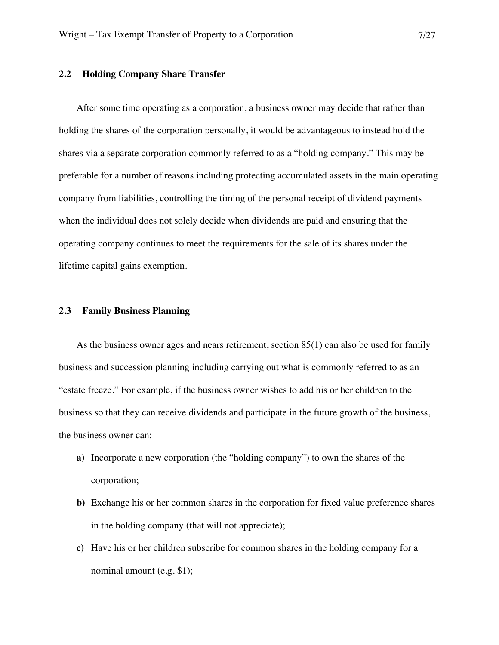#### **2.2 Holding Company Share Transfer**

After some time operating as a corporation, a business owner may decide that rather than holding the shares of the corporation personally, it would be advantageous to instead hold the shares via a separate corporation commonly referred to as a "holding company." This may be preferable for a number of reasons including protecting accumulated assets in the main operating company from liabilities, controlling the timing of the personal receipt of dividend payments when the individual does not solely decide when dividends are paid and ensuring that the operating company continues to meet the requirements for the sale of its shares under the lifetime capital gains exemption.

#### **2.3 Family Business Planning**

As the business owner ages and nears retirement, section 85(1) can also be used for family business and succession planning including carrying out what is commonly referred to as an "estate freeze." For example, if the business owner wishes to add his or her children to the business so that they can receive dividends and participate in the future growth of the business, the business owner can:

- **a)** Incorporate a new corporation (the "holding company") to own the shares of the corporation;
- **b)** Exchange his or her common shares in the corporation for fixed value preference shares in the holding company (that will not appreciate);
- **c)** Have his or her children subscribe for common shares in the holding company for a nominal amount (e.g. \$1);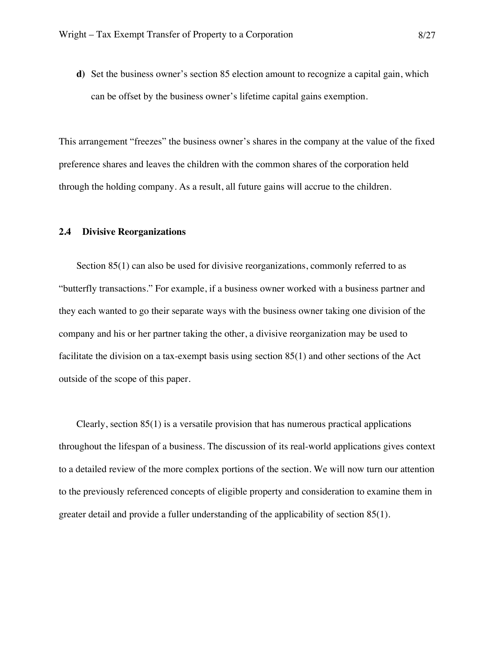**d)** Set the business owner's section 85 election amount to recognize a capital gain, which can be offset by the business owner's lifetime capital gains exemption.

This arrangement "freezes" the business owner's shares in the company at the value of the fixed preference shares and leaves the children with the common shares of the corporation held through the holding company. As a result, all future gains will accrue to the children.

#### **2.4 Divisive Reorganizations**

Section 85(1) can also be used for divisive reorganizations, commonly referred to as "butterfly transactions." For example, if a business owner worked with a business partner and they each wanted to go their separate ways with the business owner taking one division of the company and his or her partner taking the other, a divisive reorganization may be used to facilitate the division on a tax-exempt basis using section 85(1) and other sections of the Act outside of the scope of this paper.

Clearly, section 85(1) is a versatile provision that has numerous practical applications throughout the lifespan of a business. The discussion of its real-world applications gives context to a detailed review of the more complex portions of the section. We will now turn our attention to the previously referenced concepts of eligible property and consideration to examine them in greater detail and provide a fuller understanding of the applicability of section 85(1).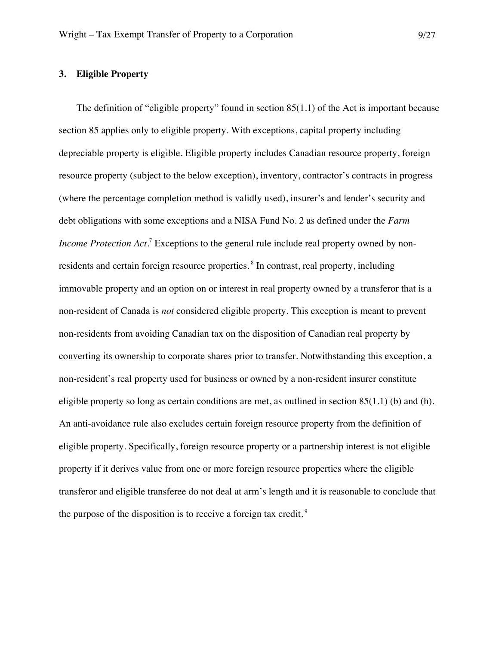# **3. Eligible Property**

The definition of "eligible property" found in section 85(1.1) of the Act is important because section 85 applies only to eligible property. With exceptions, capital property including depreciable property is eligible. Eligible property includes Canadian resource property, foreign resource property (subject to the below exception), inventory, contractor's contracts in progress (where the percentage completion method is validly used), insurer's and lender's security and debt obligations with some exceptions and a NISA Fund No. 2 as defined under the *Farm Income Protection Act*.<sup>7</sup> Exceptions to the general rule include real property owned by nonresidents and certain foreign resource properties.<sup>8</sup> In contrast, real property, including immovable property and an option on or interest in real property owned by a transferor that is a non-resident of Canada is *not* considered eligible property. This exception is meant to prevent non-residents from avoiding Canadian tax on the disposition of Canadian real property by converting its ownership to corporate shares prior to transfer. Notwithstanding this exception, a non-resident's real property used for business or owned by a non-resident insurer constitute eligible property so long as certain conditions are met, as outlined in section  $85(1.1)$  (b) and (h). An anti-avoidance rule also excludes certain foreign resource property from the definition of eligible property. Specifically, foreign resource property or a partnership interest is not eligible property if it derives value from one or more foreign resource properties where the eligible transferor and eligible transferee do not deal at arm's length and it is reasonable to conclude that the purpose of the disposition is to receive a foreign tax credit.<sup>9</sup>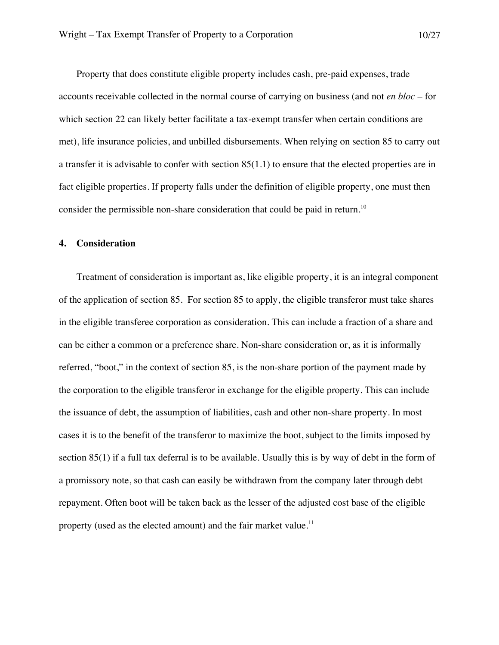Property that does constitute eligible property includes cash, pre-paid expenses, trade accounts receivable collected in the normal course of carrying on business (and not *en bloc* – for which section 22 can likely better facilitate a tax-exempt transfer when certain conditions are met), life insurance policies, and unbilled disbursements. When relying on section 85 to carry out a transfer it is advisable to confer with section 85(1.1) to ensure that the elected properties are in fact eligible properties. If property falls under the definition of eligible property, one must then consider the permissible non-share consideration that could be paid in return.<sup>10</sup>

#### **4. Consideration**

Treatment of consideration is important as, like eligible property, it is an integral component of the application of section 85. For section 85 to apply, the eligible transferor must take shares in the eligible transferee corporation as consideration. This can include a fraction of a share and can be either a common or a preference share. Non-share consideration or, as it is informally referred, "boot," in the context of section 85, is the non-share portion of the payment made by the corporation to the eligible transferor in exchange for the eligible property. This can include the issuance of debt, the assumption of liabilities, cash and other non-share property. In most cases it is to the benefit of the transferor to maximize the boot, subject to the limits imposed by section 85(1) if a full tax deferral is to be available. Usually this is by way of debt in the form of a promissory note, so that cash can easily be withdrawn from the company later through debt repayment. Often boot will be taken back as the lesser of the adjusted cost base of the eligible property (used as the elected amount) and the fair market value.<sup>11</sup>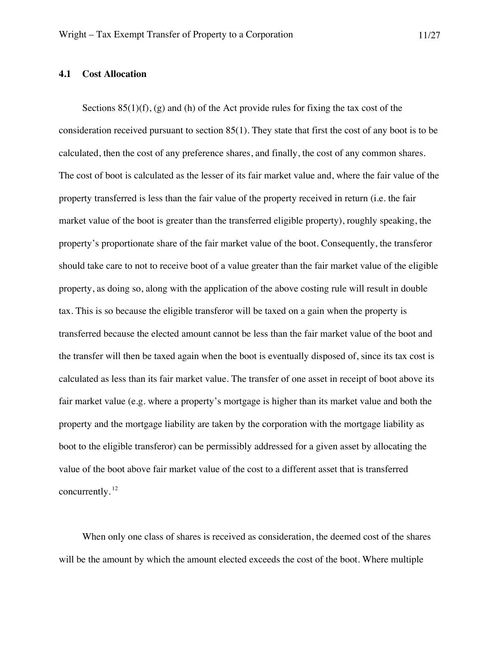# **4.1 Cost Allocation**

Sections  $85(1)(f)$ , (g) and (h) of the Act provide rules for fixing the tax cost of the consideration received pursuant to section 85(1). They state that first the cost of any boot is to be calculated, then the cost of any preference shares, and finally, the cost of any common shares. The cost of boot is calculated as the lesser of its fair market value and, where the fair value of the property transferred is less than the fair value of the property received in return (i.e. the fair market value of the boot is greater than the transferred eligible property), roughly speaking, the property's proportionate share of the fair market value of the boot. Consequently, the transferor should take care to not to receive boot of a value greater than the fair market value of the eligible property, as doing so, along with the application of the above costing rule will result in double tax. This is so because the eligible transferor will be taxed on a gain when the property is transferred because the elected amount cannot be less than the fair market value of the boot and the transfer will then be taxed again when the boot is eventually disposed of, since its tax cost is calculated as less than its fair market value. The transfer of one asset in receipt of boot above its fair market value (e.g. where a property's mortgage is higher than its market value and both the property and the mortgage liability are taken by the corporation with the mortgage liability as boot to the eligible transferor) can be permissibly addressed for a given asset by allocating the value of the boot above fair market value of the cost to a different asset that is transferred concurrently. 12

When only one class of shares is received as consideration, the deemed cost of the shares will be the amount by which the amount elected exceeds the cost of the boot. Where multiple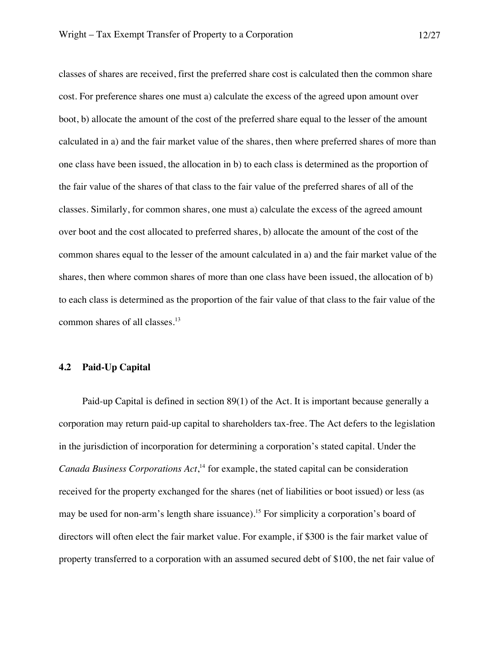classes of shares are received, first the preferred share cost is calculated then the common share cost. For preference shares one must a) calculate the excess of the agreed upon amount over boot, b) allocate the amount of the cost of the preferred share equal to the lesser of the amount calculated in a) and the fair market value of the shares, then where preferred shares of more than one class have been issued, the allocation in b) to each class is determined as the proportion of the fair value of the shares of that class to the fair value of the preferred shares of all of the classes. Similarly, for common shares, one must a) calculate the excess of the agreed amount over boot and the cost allocated to preferred shares, b) allocate the amount of the cost of the common shares equal to the lesser of the amount calculated in a) and the fair market value of the shares, then where common shares of more than one class have been issued, the allocation of b) to each class is determined as the proportion of the fair value of that class to the fair value of the common shares of all classes.<sup>13</sup>

# **4.2 Paid-Up Capital**

Paid-up Capital is defined in section 89(1) of the Act. It is important because generally a corporation may return paid-up capital to shareholders tax-free. The Act defers to the legislation in the jurisdiction of incorporation for determining a corporation's stated capital. Under the *Canada Business Corporations Act*, <sup>14</sup> for example, the stated capital can be consideration received for the property exchanged for the shares (net of liabilities or boot issued) or less (as may be used for non-arm's length share issuance). <sup>15</sup> For simplicity a corporation's board of directors will often elect the fair market value. For example, if \$300 is the fair market value of property transferred to a corporation with an assumed secured debt of \$100, the net fair value of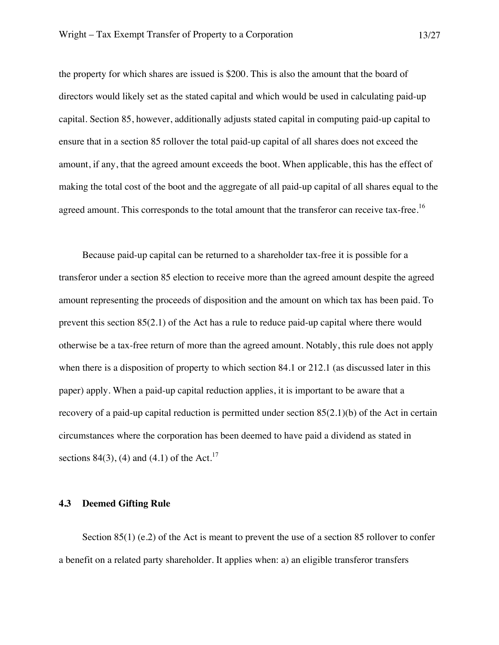the property for which shares are issued is \$200. This is also the amount that the board of directors would likely set as the stated capital and which would be used in calculating paid-up capital. Section 85, however, additionally adjusts stated capital in computing paid-up capital to ensure that in a section 85 rollover the total paid-up capital of all shares does not exceed the amount, if any, that the agreed amount exceeds the boot. When applicable, this has the effect of making the total cost of the boot and the aggregate of all paid-up capital of all shares equal to the agreed amount. This corresponds to the total amount that the transferor can receive tax-free.<sup>16</sup>

Because paid-up capital can be returned to a shareholder tax-free it is possible for a transferor under a section 85 election to receive more than the agreed amount despite the agreed amount representing the proceeds of disposition and the amount on which tax has been paid. To prevent this section 85(2.1) of the Act has a rule to reduce paid-up capital where there would otherwise be a tax-free return of more than the agreed amount. Notably, this rule does not apply when there is a disposition of property to which section 84.1 or 212.1 (as discussed later in this paper) apply. When a paid-up capital reduction applies, it is important to be aware that a recovery of a paid-up capital reduction is permitted under section 85(2.1)(b) of the Act in certain circumstances where the corporation has been deemed to have paid a dividend as stated in sections 84(3), (4) and (4.1) of the Act.<sup>17</sup>

#### **4.3 Deemed Gifting Rule**

Section 85(1) (e.2) of the Act is meant to prevent the use of a section 85 rollover to confer a benefit on a related party shareholder. It applies when: a) an eligible transferor transfers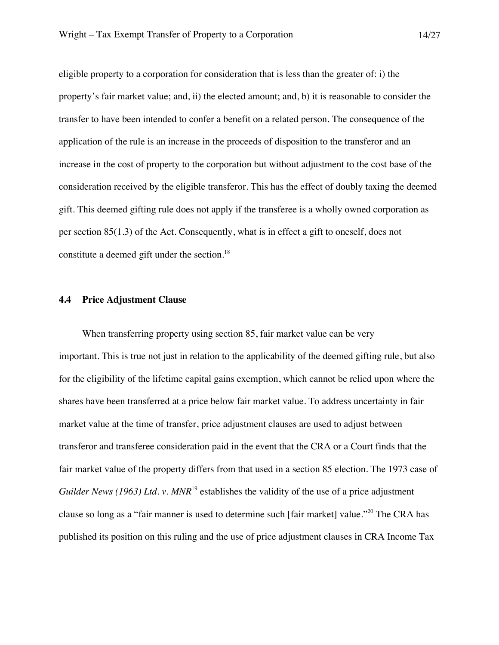eligible property to a corporation for consideration that is less than the greater of: i) the property's fair market value; and, ii) the elected amount; and, b) it is reasonable to consider the transfer to have been intended to confer a benefit on a related person. The consequence of the application of the rule is an increase in the proceeds of disposition to the transferor and an increase in the cost of property to the corporation but without adjustment to the cost base of the consideration received by the eligible transferor. This has the effect of doubly taxing the deemed gift. This deemed gifting rule does not apply if the transferee is a wholly owned corporation as per section 85(1.3) of the Act. Consequently, what is in effect a gift to oneself, does not constitute a deemed gift under the section.<sup>18</sup>

#### **4.4 Price Adjustment Clause**

When transferring property using section 85, fair market value can be very important. This is true not just in relation to the applicability of the deemed gifting rule, but also for the eligibility of the lifetime capital gains exemption, which cannot be relied upon where the shares have been transferred at a price below fair market value. To address uncertainty in fair market value at the time of transfer, price adjustment clauses are used to adjust between transferor and transferee consideration paid in the event that the CRA or a Court finds that the fair market value of the property differs from that used in a section 85 election. The 1973 case of *Guilder News (1963) Ltd. v. MNR*<sup>19</sup> establishes the validity of the use of a price adjustment clause so long as a "fair manner is used to determine such [fair market] value."<sup>20</sup> The CRA has published its position on this ruling and the use of price adjustment clauses in CRA Income Tax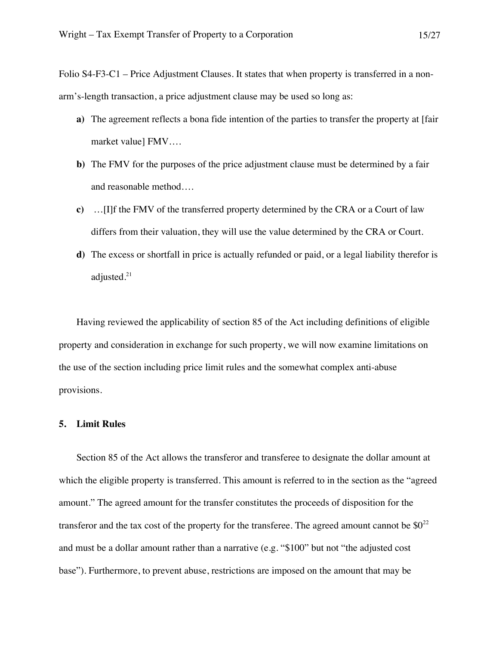Folio S4-F3-C1 – Price Adjustment Clauses. It states that when property is transferred in a nonarm's-length transaction, a price adjustment clause may be used so long as:

- **a)** The agreement reflects a bona fide intention of the parties to transfer the property at [fair market value] FMV….
- **b)** The FMV for the purposes of the price adjustment clause must be determined by a fair and reasonable method….
- **c)** …[I]f the FMV of the transferred property determined by the CRA or a Court of law differs from their valuation, they will use the value determined by the CRA or Court.
- **d)** The excess or shortfall in price is actually refunded or paid, or a legal liability therefor is adjusted. $21$

Having reviewed the applicability of section 85 of the Act including definitions of eligible property and consideration in exchange for such property, we will now examine limitations on the use of the section including price limit rules and the somewhat complex anti-abuse provisions.

#### **5. Limit Rules**

Section 85 of the Act allows the transferor and transferee to designate the dollar amount at which the eligible property is transferred. This amount is referred to in the section as the "agreed amount." The agreed amount for the transfer constitutes the proceeds of disposition for the transferor and the tax cost of the property for the transferee. The agreed amount cannot be  $\$0^{22}$ and must be a dollar amount rather than a narrative (e.g. "\$100" but not "the adjusted cost base"). Furthermore, to prevent abuse, restrictions are imposed on the amount that may be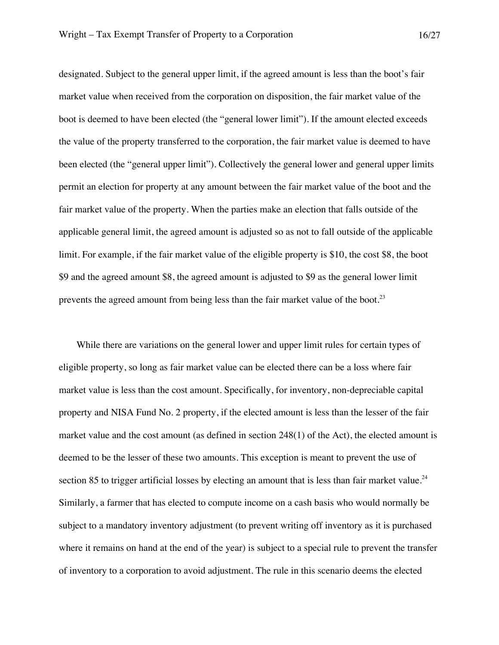designated. Subject to the general upper limit, if the agreed amount is less than the boot's fair market value when received from the corporation on disposition, the fair market value of the boot is deemed to have been elected (the "general lower limit"). If the amount elected exceeds the value of the property transferred to the corporation, the fair market value is deemed to have been elected (the "general upper limit"). Collectively the general lower and general upper limits permit an election for property at any amount between the fair market value of the boot and the fair market value of the property. When the parties make an election that falls outside of the applicable general limit, the agreed amount is adjusted so as not to fall outside of the applicable limit. For example, if the fair market value of the eligible property is \$10, the cost \$8, the boot \$9 and the agreed amount \$8, the agreed amount is adjusted to \$9 as the general lower limit prevents the agreed amount from being less than the fair market value of the boot. $^{23}$ 

While there are variations on the general lower and upper limit rules for certain types of eligible property, so long as fair market value can be elected there can be a loss where fair market value is less than the cost amount. Specifically, for inventory, non-depreciable capital property and NISA Fund No. 2 property, if the elected amount is less than the lesser of the fair market value and the cost amount (as defined in section 248(1) of the Act), the elected amount is deemed to be the lesser of these two amounts. This exception is meant to prevent the use of section 85 to trigger artificial losses by electing an amount that is less than fair market value.<sup>24</sup> Similarly, a farmer that has elected to compute income on a cash basis who would normally be subject to a mandatory inventory adjustment (to prevent writing off inventory as it is purchased where it remains on hand at the end of the year) is subject to a special rule to prevent the transfer of inventory to a corporation to avoid adjustment. The rule in this scenario deems the elected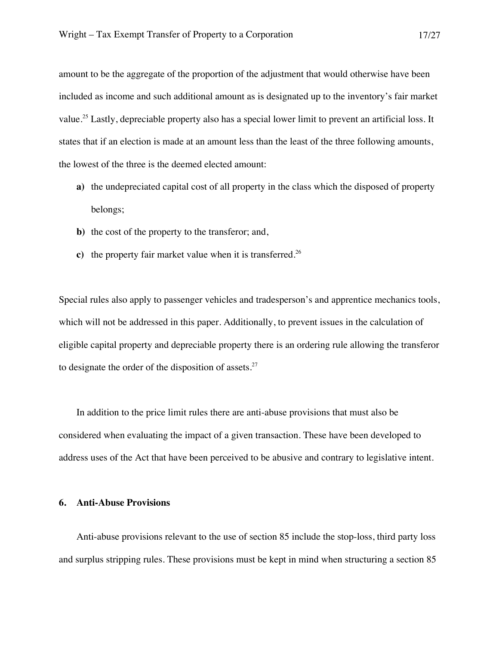amount to be the aggregate of the proportion of the adjustment that would otherwise have been included as income and such additional amount as is designated up to the inventory's fair market value.<sup>25</sup> Lastly, depreciable property also has a special lower limit to prevent an artificial loss. It states that if an election is made at an amount less than the least of the three following amounts, the lowest of the three is the deemed elected amount:

- **a)** the undepreciated capital cost of all property in the class which the disposed of property belongs;
- **b)** the cost of the property to the transferor; and,
- **c**) the property fair market value when it is transferred.<sup>26</sup>

Special rules also apply to passenger vehicles and tradesperson's and apprentice mechanics tools, which will not be addressed in this paper. Additionally, to prevent issues in the calculation of eligible capital property and depreciable property there is an ordering rule allowing the transferor to designate the order of the disposition of assets. $27$ 

In addition to the price limit rules there are anti-abuse provisions that must also be considered when evaluating the impact of a given transaction. These have been developed to address uses of the Act that have been perceived to be abusive and contrary to legislative intent.

### **6. Anti-Abuse Provisions**

Anti-abuse provisions relevant to the use of section 85 include the stop-loss, third party loss and surplus stripping rules. These provisions must be kept in mind when structuring a section 85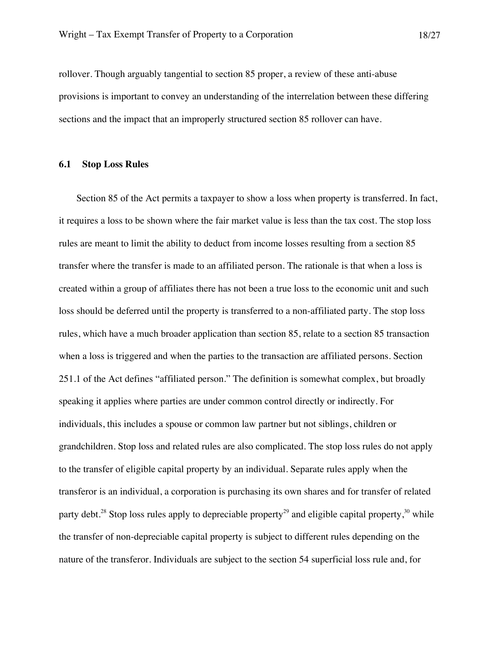rollover. Though arguably tangential to section 85 proper, a review of these anti-abuse provisions is important to convey an understanding of the interrelation between these differing sections and the impact that an improperly structured section 85 rollover can have.

#### **6.1 Stop Loss Rules**

Section 85 of the Act permits a taxpayer to show a loss when property is transferred. In fact, it requires a loss to be shown where the fair market value is less than the tax cost. The stop loss rules are meant to limit the ability to deduct from income losses resulting from a section 85 transfer where the transfer is made to an affiliated person. The rationale is that when a loss is created within a group of affiliates there has not been a true loss to the economic unit and such loss should be deferred until the property is transferred to a non-affiliated party. The stop loss rules, which have a much broader application than section 85, relate to a section 85 transaction when a loss is triggered and when the parties to the transaction are affiliated persons. Section 251.1 of the Act defines "affiliated person." The definition is somewhat complex, but broadly speaking it applies where parties are under common control directly or indirectly. For individuals, this includes a spouse or common law partner but not siblings, children or grandchildren. Stop loss and related rules are also complicated. The stop loss rules do not apply to the transfer of eligible capital property by an individual. Separate rules apply when the transferor is an individual, a corporation is purchasing its own shares and for transfer of related party debt.<sup>28</sup> Stop loss rules apply to depreciable property<sup>29</sup> and eligible capital property,<sup>30</sup> while the transfer of non-depreciable capital property is subject to different rules depending on the nature of the transferor. Individuals are subject to the section 54 superficial loss rule and, for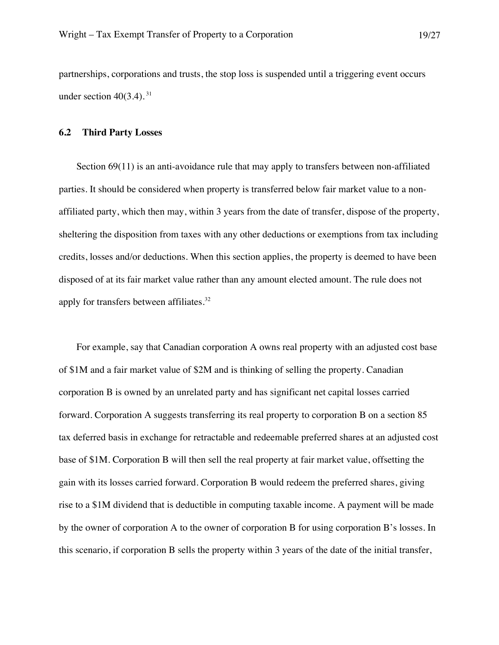partnerships, corporations and trusts, the stop loss is suspended until a triggering event occurs under section  $40(3.4)$ . <sup>31</sup>

#### **6.2 Third Party Losses**

Section  $69(11)$  is an anti-avoidance rule that may apply to transfers between non-affiliated parties. It should be considered when property is transferred below fair market value to a nonaffiliated party, which then may, within 3 years from the date of transfer, dispose of the property, sheltering the disposition from taxes with any other deductions or exemptions from tax including credits, losses and/or deductions. When this section applies, the property is deemed to have been disposed of at its fair market value rather than any amount elected amount. The rule does not apply for transfers between affiliates.<sup>32</sup>

For example, say that Canadian corporation A owns real property with an adjusted cost base of \$1M and a fair market value of \$2M and is thinking of selling the property. Canadian corporation B is owned by an unrelated party and has significant net capital losses carried forward. Corporation A suggests transferring its real property to corporation B on a section 85 tax deferred basis in exchange for retractable and redeemable preferred shares at an adjusted cost base of \$1M. Corporation B will then sell the real property at fair market value, offsetting the gain with its losses carried forward. Corporation B would redeem the preferred shares, giving rise to a \$1M dividend that is deductible in computing taxable income. A payment will be made by the owner of corporation A to the owner of corporation B for using corporation B's losses. In this scenario, if corporation B sells the property within 3 years of the date of the initial transfer,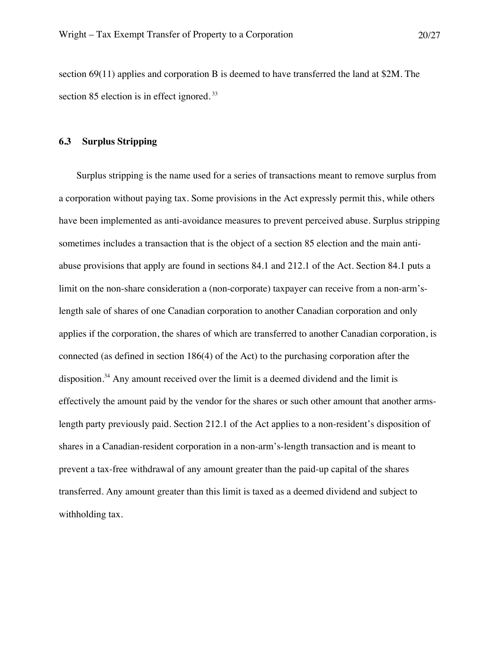section 69(11) applies and corporation B is deemed to have transferred the land at \$2M. The section 85 election is in effect ignored.<sup>33</sup>

### **6.3 Surplus Stripping**

Surplus stripping is the name used for a series of transactions meant to remove surplus from a corporation without paying tax. Some provisions in the Act expressly permit this, while others have been implemented as anti-avoidance measures to prevent perceived abuse. Surplus stripping sometimes includes a transaction that is the object of a section 85 election and the main antiabuse provisions that apply are found in sections 84.1 and 212.1 of the Act. Section 84.1 puts a limit on the non-share consideration a (non-corporate) taxpayer can receive from a non-arm'slength sale of shares of one Canadian corporation to another Canadian corporation and only applies if the corporation, the shares of which are transferred to another Canadian corporation, is connected (as defined in section 186(4) of the Act) to the purchasing corporation after the disposition.<sup>34</sup> Any amount received over the limit is a deemed dividend and the limit is effectively the amount paid by the vendor for the shares or such other amount that another armslength party previously paid. Section 212.1 of the Act applies to a non-resident's disposition of shares in a Canadian-resident corporation in a non-arm's-length transaction and is meant to prevent a tax-free withdrawal of any amount greater than the paid-up capital of the shares transferred. Any amount greater than this limit is taxed as a deemed dividend and subject to withholding tax.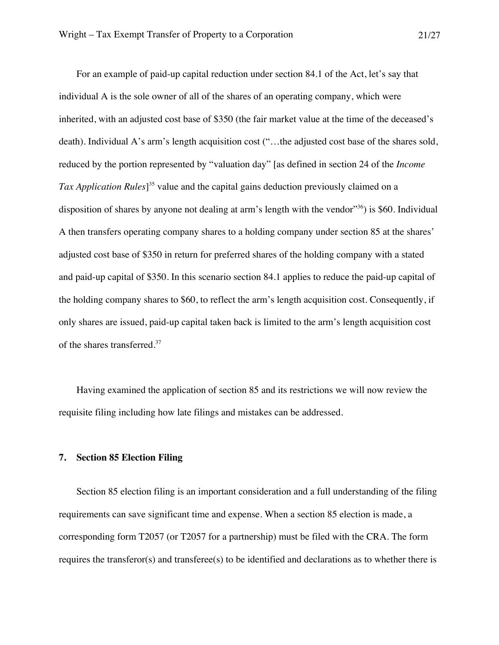For an example of paid-up capital reduction under section 84.1 of the Act, let's say that individual A is the sole owner of all of the shares of an operating company, which were inherited, with an adjusted cost base of \$350 (the fair market value at the time of the deceased's death). Individual A's arm's length acquisition cost ("…the adjusted cost base of the shares sold, reduced by the portion represented by "valuation day" [as defined in section 24 of the *Income Tax Application Rules*] <sup>35</sup> value and the capital gains deduction previously claimed on a disposition of shares by anyone not dealing at arm's length with the vendor<sup>356</sup> is \$60. Individual A then transfers operating company shares to a holding company under section 85 at the shares' adjusted cost base of \$350 in return for preferred shares of the holding company with a stated and paid-up capital of \$350. In this scenario section 84.1 applies to reduce the paid-up capital of the holding company shares to \$60, to reflect the arm's length acquisition cost. Consequently, if only shares are issued, paid-up capital taken back is limited to the arm's length acquisition cost of the shares transferred.<sup>37</sup>

Having examined the application of section 85 and its restrictions we will now review the requisite filing including how late filings and mistakes can be addressed.

#### **7. Section 85 Election Filing**

Section 85 election filing is an important consideration and a full understanding of the filing requirements can save significant time and expense. When a section 85 election is made, a corresponding form T2057 (or T2057 for a partnership) must be filed with the CRA. The form requires the transferor(s) and transferee(s) to be identified and declarations as to whether there is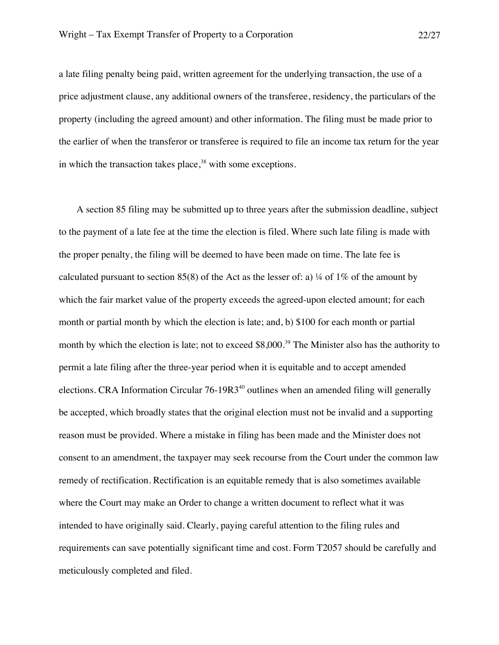a late filing penalty being paid, written agreement for the underlying transaction, the use of a price adjustment clause, any additional owners of the transferee, residency, the particulars of the property (including the agreed amount) and other information. The filing must be made prior to the earlier of when the transferor or transferee is required to file an income tax return for the year in which the transaction takes place, $38$  with some exceptions.

A section 85 filing may be submitted up to three years after the submission deadline, subject to the payment of a late fee at the time the election is filed. Where such late filing is made with the proper penalty, the filing will be deemed to have been made on time. The late fee is calculated pursuant to section 85(8) of the Act as the lesser of: a)  $\frac{1}{4}$  of 1% of the amount by which the fair market value of the property exceeds the agreed-upon elected amount; for each month or partial month by which the election is late; and, b) \$100 for each month or partial month by which the election is late; not to exceed \$8,000.<sup>39</sup> The Minister also has the authority to permit a late filing after the three-year period when it is equitable and to accept amended elections. CRA Information Circular  $76-19R3^{40}$  outlines when an amended filing will generally be accepted, which broadly states that the original election must not be invalid and a supporting reason must be provided. Where a mistake in filing has been made and the Minister does not consent to an amendment, the taxpayer may seek recourse from the Court under the common law remedy of rectification. Rectification is an equitable remedy that is also sometimes available where the Court may make an Order to change a written document to reflect what it was intended to have originally said. Clearly, paying careful attention to the filing rules and requirements can save potentially significant time and cost. Form T2057 should be carefully and meticulously completed and filed.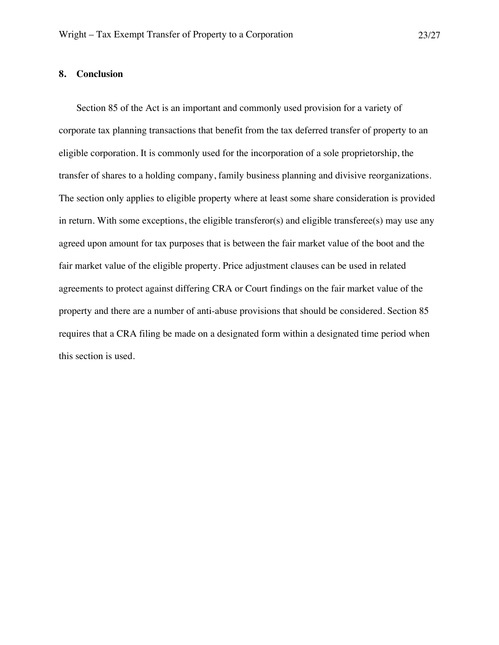### **8. Conclusion**

Section 85 of the Act is an important and commonly used provision for a variety of corporate tax planning transactions that benefit from the tax deferred transfer of property to an eligible corporation. It is commonly used for the incorporation of a sole proprietorship, the transfer of shares to a holding company, family business planning and divisive reorganizations. The section only applies to eligible property where at least some share consideration is provided in return. With some exceptions, the eligible transferor(s) and eligible transferee(s) may use any agreed upon amount for tax purposes that is between the fair market value of the boot and the fair market value of the eligible property. Price adjustment clauses can be used in related agreements to protect against differing CRA or Court findings on the fair market value of the property and there are a number of anti-abuse provisions that should be considered. Section 85 requires that a CRA filing be made on a designated form within a designated time period when this section is used.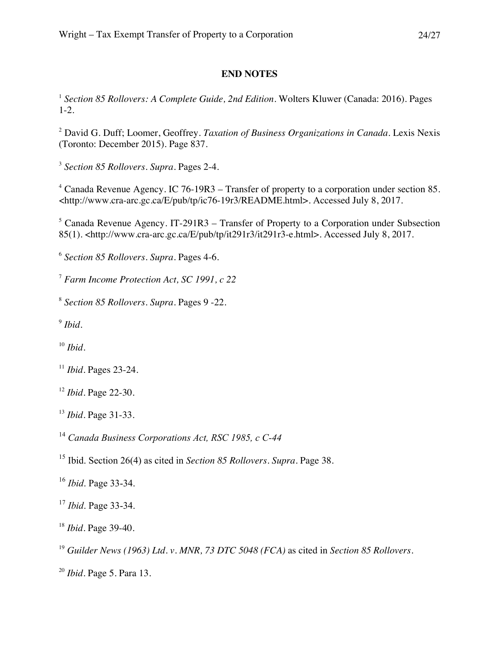# **END NOTES**

<sup>1</sup> *Section 85 Rollovers: A Complete Guide, 2nd Edition.* Wolters Kluwer (Canada: 2016). Pages 1-2.

 David G. Duff; Loomer, Geoffrey. *Taxation of Business Organizations in Canada*. Lexis Nexis (Toronto: December 2015). Page 837.

*Section 85 Rollovers*. *Supra*. Pages 2-4.

 Canada Revenue Agency. IC 76-19R3 – Transfer of property to a corporation under section 85. <http://www.cra-arc.gc.ca/E/pub/tp/ic76-19r3/README.html>. Accessed July 8, 2017.

 Canada Revenue Agency. IT-291R3 – Transfer of Property to a Corporation under Subsection 85(1). <http://www.cra-arc.gc.ca/E/pub/tp/it291r3/it291r3-e.html>. Accessed July 8, 2017.

*Section 85 Rollovers*. *Supra*. Pages 4-6.

*Farm Income Protection Act, SC 1991, c 22*

*Section 85 Rollovers*. *Supra*. Pages 9 -22.

*Ibid.* 

*Ibid.* 

*Ibid.* Pages 23-24.

*Ibid.* Page 22-30.

*Ibid.* Page 31-33.

*Canada Business Corporations Act, RSC 1985, c C-44*

Ibid. Section 26(4) as cited in *Section 85 Rollovers*. *Supra*. Page 38.

*Ibid*. Page 33-34.

*Ibid*. Page 33-34.

*Ibid.* Page 39-40.

*Guilder News (1963) Ltd. v. MNR, 73 DTC 5048 (FCA)* as cited in *Section 85 Rollovers*.

*Ibid.* Page 5. Para 13.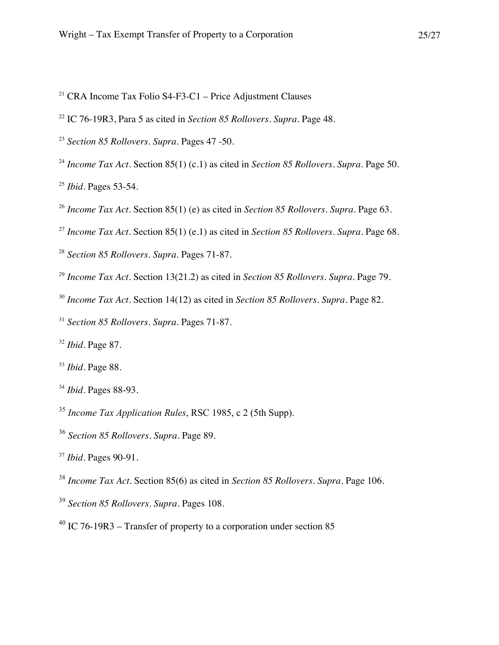- <sup>21</sup> CRA Income Tax Folio S4-F3-C1 Price Adjustment Clauses
- IC 76-19R3, Para 5 as cited in *Section 85 Rollovers*. *Supra*. Page 48.
- *Section 85 Rollovers*. *Supra*. Pages 47 -50.
- *Income Tax Act*. Section 85(1) (c.1) as cited in *Section 85 Rollovers*. *Supra*. Page 50.

*Ibid.* Pages 53-54.

- *Income Tax Act*. Section 85(1) (e) as cited in *Section 85 Rollovers*. *Supra*. Page 63.
- *Income Tax Act*. Section 85(1) (e.1) as cited in *Section 85 Rollovers*. *Supra*. Page 68.
- *Section 85 Rollovers*. *Supra*. Pages 71-87.
- *Income Tax Act*. Section 13(21.2) as cited in *Section 85 Rollovers*. *Supra*. Page 79.
- *Income Tax Act*. Section 14(12) as cited in *Section 85 Rollovers*. *Supra*. Page 82.
- *Section 85 Rollovers*. *Supra*. Pages 71-87.
- *Ibid*. Page 87.
- *Ibid*. Page 88.
- *Ibid*. Pages 88-93.
- *Income Tax Application Rules*, RSC 1985, c 2 (5th Supp).
- *Section 85 Rollovers*. *Supra*. Page 89.
- *Ibid*. Pages 90-91.
- *Income Tax Act*. Section 85(6) as cited in *Section 85 Rollovers*. *Supra*. Page 106.
- *Section 85 Rollovers*. *Supra*. Pages 108.
- $^{40}$  IC 76-19R3 Transfer of property to a corporation under section 85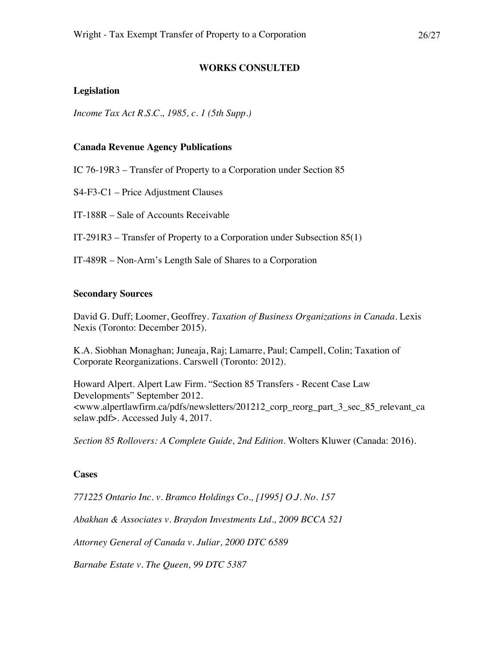# **Legislation**

*Income Tax Act R.S.C., 1985, c. 1 (5th Supp.)*

# **Canada Revenue Agency Publications**

IC 76-19R3 – Transfer of Property to a Corporation under Section 85

S4-F3-C1 – Price Adjustment Clauses

IT-188R – Sale of Accounts Receivable

IT-291R3 – Transfer of Property to a Corporation under Subsection 85(1)

IT-489R – Non-Arm's Length Sale of Shares to a Corporation

# **Secondary Sources**

David G. Duff; Loomer, Geoffrey. *Taxation of Business Organizations in Canada*. Lexis Nexis (Toronto: December 2015).

**WORKS CONSULTED**

K.A. Siobhan Monaghan; Juneaja, Raj; Lamarre, Paul; Campell, Colin; Taxation of Corporate Reorganizations. Carswell (Toronto: 2012).

Howard Alpert. Alpert Law Firm. "Section 85 Transfers - Recent Case Law Developments" September 2012. <www.alpertlawfirm.ca/pdfs/newsletters/201212\_corp\_reorg\_part\_3\_sec\_85\_relevant\_ca selaw.pdf>. Accessed July 4, 2017.

*Section 85 Rollovers: A Complete Guide, 2nd Edition*. Wolters Kluwer (Canada: 2016).

# **Cases**

*771225 Ontario Inc. v. Bramco Holdings Co., [1995] O.J. No. 157*

*Abakhan & Associates v. Braydon Investments Ltd., 2009 BCCA 521*

*Attorney General of Canada v. Juliar, 2000 DTC 6589*

*Barnabe Estate v. The Queen, 99 DTC 5387*